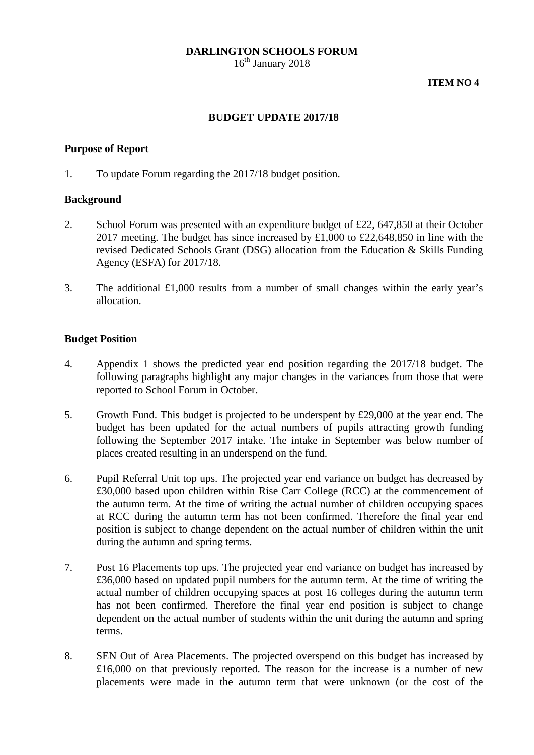### **DARLINGTON SCHOOLS FORUM**

16<sup>th</sup> January 2018

### **BUDGET UPDATE 2017/18**

#### **Purpose of Report**

1. To update Forum regarding the 2017/18 budget position.

#### **Background**

- 2. School Forum was presented with an expenditure budget of £22, 647,850 at their October 2017 meeting. The budget has since increased by £1,000 to £22,648,850 in line with the revised Dedicated Schools Grant (DSG) allocation from the Education & Skills Funding Agency (ESFA) for 2017/18.
- 3. The additional £1,000 results from a number of small changes within the early year's allocation.

#### **Budget Position**

- 4. Appendix 1 shows the predicted year end position regarding the 2017/18 budget. The following paragraphs highlight any major changes in the variances from those that were reported to School Forum in October.
- 5. Growth Fund. This budget is projected to be underspent by £29,000 at the year end. The budget has been updated for the actual numbers of pupils attracting growth funding following the September 2017 intake. The intake in September was below number of places created resulting in an underspend on the fund.
- 6. Pupil Referral Unit top ups. The projected year end variance on budget has decreased by £30,000 based upon children within Rise Carr College (RCC) at the commencement of the autumn term. At the time of writing the actual number of children occupying spaces at RCC during the autumn term has not been confirmed. Therefore the final year end position is subject to change dependent on the actual number of children within the unit during the autumn and spring terms.
- 7. Post 16 Placements top ups. The projected year end variance on budget has increased by £36,000 based on updated pupil numbers for the autumn term. At the time of writing the actual number of children occupying spaces at post 16 colleges during the autumn term has not been confirmed. Therefore the final year end position is subject to change dependent on the actual number of students within the unit during the autumn and spring terms.
- 8. SEN Out of Area Placements. The projected overspend on this budget has increased by £16,000 on that previously reported. The reason for the increase is a number of new placements were made in the autumn term that were unknown (or the cost of the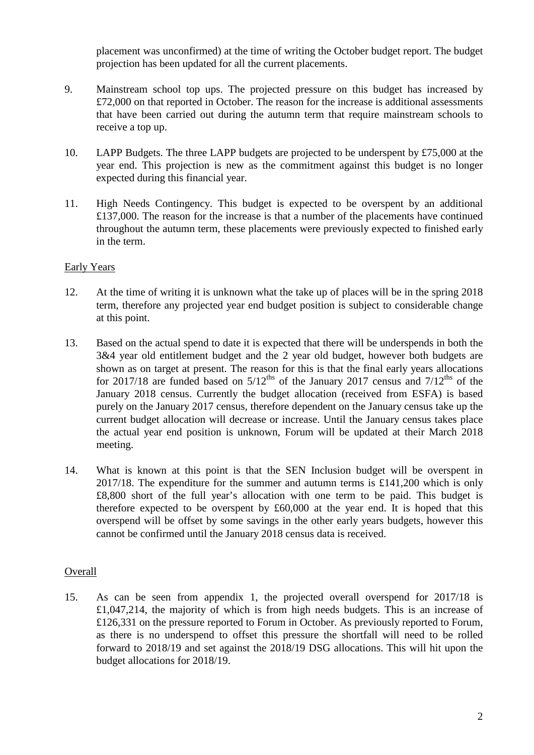placement was unconfirmed) at the time of writing the October budget report. The budget projection has been updated for all the current placements.

- 9. Mainstream school top ups. The projected pressure on this budget has increased by £72,000 on that reported in October. The reason for the increase is additional assessments that have been carried out during the autumn term that require mainstream schools to receive a top up.
- 10. LAPP Budgets. The three LAPP budgets are projected to be underspent by £75,000 at the year end. This projection is new as the commitment against this budget is no longer expected during this financial year.
- 11. High Needs Contingency. This budget is expected to be overspent by an additional £137,000. The reason for the increase is that a number of the placements have continued throughout the autumn term, these placements were previously expected to finished early in the term.

# Early Years

- 12. At the time of writing it is unknown what the take up of places will be in the spring 2018 term, therefore any projected year end budget position is subject to considerable change at this point.
- 13. Based on the actual spend to date it is expected that there will be underspends in both the 3&4 year old entitlement budget and the 2 year old budget, however both budgets are shown as on target at present. The reason for this is that the final early years allocations for 2017/18 are funded based on  $5/12^{ths}$  of the January 2017 census and  $7/12^{ths}$  of the January 2018 census. Currently the budget allocation (received from ESFA) is based purely on the January 2017 census, therefore dependent on the January census take up the current budget allocation will decrease or increase. Until the January census takes place the actual year end position is unknown, Forum will be updated at their March 2018 meeting.
- 14. What is known at this point is that the SEN Inclusion budget will be overspent in 2017/18. The expenditure for the summer and autumn terms is £141,200 which is only £8,800 short of the full year's allocation with one term to be paid. This budget is therefore expected to be overspent by £60,000 at the year end. It is hoped that this overspend will be offset by some savings in the other early years budgets, however this cannot be confirmed until the January 2018 census data is received.

# **Overall**

15. As can be seen from appendix 1, the projected overall overspend for 2017/18 is £1,047,214, the majority of which is from high needs budgets. This is an increase of £126,331 on the pressure reported to Forum in October. As previously reported to Forum, as there is no underspend to offset this pressure the shortfall will need to be rolled forward to 2018/19 and set against the 2018/19 DSG allocations. This will hit upon the budget allocations for 2018/19.